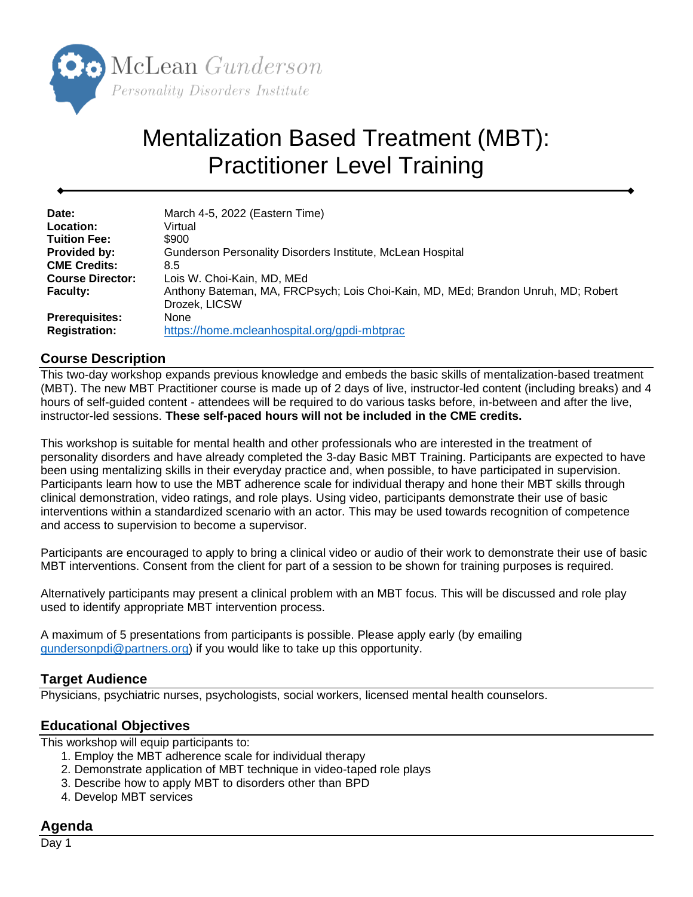

# Mentalization Based Treatment (MBT): Practitioner Level Training

| Date:                   | March 4-5, 2022 (Eastern Time)                                                    |
|-------------------------|-----------------------------------------------------------------------------------|
| Location:               | Virtual                                                                           |
| <b>Tuition Fee:</b>     | \$900                                                                             |
| <b>Provided by:</b>     | Gunderson Personality Disorders Institute, McLean Hospital                        |
| <b>CME Credits:</b>     | 8.5                                                                               |
| <b>Course Director:</b> | Lois W. Choi-Kain, MD, MEd                                                        |
| <b>Faculty:</b>         | Anthony Bateman, MA, FRCPsych; Lois Choi-Kain, MD, MEd; Brandon Unruh, MD; Robert |
|                         | Drozek, LICSW                                                                     |
| <b>Prerequisites:</b>   | None                                                                              |
| <b>Registration:</b>    | https://home.mcleanhospital.org/gpdi-mbtprac                                      |

### **Course Description**

This two-day workshop expands previous knowledge and embeds the basic skills of mentalization-based treatment (MBT). The new MBT Practitioner course is made up of 2 days of live, instructor-led content (including breaks) and 4 hours of self-guided content - attendees will be required to do various tasks before, in-between and after the live, instructor-led sessions. **These self-paced hours will not be included in the CME credits.**

This workshop is suitable for mental health and other professionals who are interested in the treatment of personality disorders and have already completed the 3-day Basic MBT Training. Participants are expected to have been using mentalizing skills in their everyday practice and, when possible, to have participated in supervision. Participants learn how to use the MBT adherence scale for individual therapy and hone their MBT skills through clinical demonstration, video ratings, and role plays. Using video, participants demonstrate their use of basic interventions within a standardized scenario with an actor. This may be used towards recognition of competence and access to supervision to become a supervisor.

Participants are encouraged to apply to bring a clinical video or audio of their work to demonstrate their use of basic MBT interventions. Consent from the client for part of a session to be shown for training purposes is required.

Alternatively participants may present a clinical problem with an MBT focus. This will be discussed and role play used to identify appropriate MBT intervention process.

A maximum of 5 presentations from participants is possible. Please apply early (by emailing [gundersonpdi@partners.org\)](mailto:gundersonpdi@partners.org) if you would like to take up this opportunity.

### **Target Audience**

Physicians, psychiatric nurses, psychologists, social workers, licensed mental health counselors.

#### **Educational Objectives**

This workshop will equip participants to:

- 1. Employ the MBT adherence scale for individual therapy
- 2. Demonstrate application of MBT technique in video-taped role plays
- 3. Describe how to apply MBT to disorders other than BPD
- 4. Develop MBT services

### **Agenda**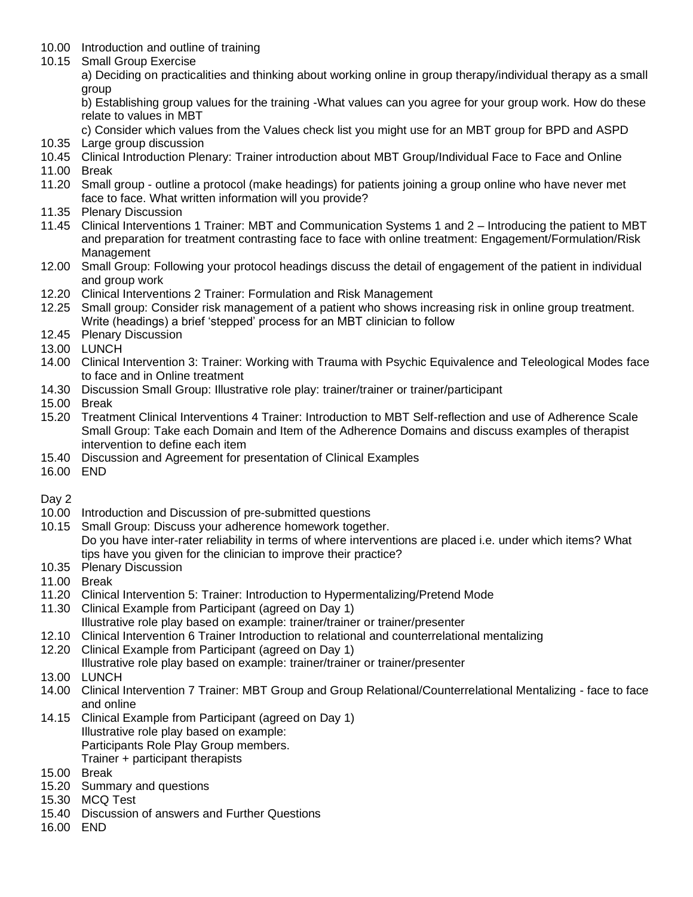- 10.00 Introduction and outline of training
- 10.15 Small Group Exercise

a) Deciding on practicalities and thinking about working online in group therapy/individual therapy as a small group

b) Establishing group values for the training -What values can you agree for your group work. How do these relate to values in MBT

c) Consider which values from the Values check list you might use for an MBT group for BPD and ASPD

- 10.35 Large group discussion
- 10.45 Clinical Introduction Plenary: Trainer introduction about MBT Group/Individual Face to Face and Online
- 11.00 Break
- 11.20 Small group outline a protocol (make headings) for patients joining a group online who have never met face to face. What written information will you provide?
- 11.35 Plenary Discussion
- 11.45 Clinical Interventions 1 Trainer: MBT and Communication Systems 1 and 2 Introducing the patient to MBT and preparation for treatment contrasting face to face with online treatment: Engagement/Formulation/Risk Management
- 12.00 Small Group: Following your protocol headings discuss the detail of engagement of the patient in individual and group work
- 12.20 Clinical Interventions 2 Trainer: Formulation and Risk Management
- 12.25 Small group: Consider risk management of a patient who shows increasing risk in online group treatment. Write (headings) a brief 'stepped' process for an MBT clinician to follow
- 12.45 Plenary Discussion
- 13.00 LUNCH
- 14.00 Clinical Intervention 3: Trainer: Working with Trauma with Psychic Equivalence and Teleological Modes face to face and in Online treatment
- 14.30 Discussion Small Group: Illustrative role play: trainer/trainer or trainer/participant
- 15.00 Break
- 15.20 Treatment Clinical Interventions 4 Trainer: Introduction to MBT Self-reflection and use of Adherence Scale Small Group: Take each Domain and Item of the Adherence Domains and discuss examples of therapist intervention to define each item
- 15.40 Discussion and Agreement for presentation of Clinical Examples
- 16.00 END
- Day 2
- 10.00 Introduction and Discussion of pre-submitted questions
- 10.15 Small Group: Discuss your adherence homework together. Do you have inter-rater reliability in terms of where interventions are placed i.e. under which items? What tips have you given for the clinician to improve their practice?
- 10.35 Plenary Discussion
- 11.00 Break
- 11.20 Clinical Intervention 5: Trainer: Introduction to Hypermentalizing/Pretend Mode
- 11.30 Clinical Example from Participant (agreed on Day 1)
- Illustrative role play based on example: trainer/trainer or trainer/presenter
- 12.10 Clinical Intervention 6 Trainer Introduction to relational and counterrelational mentalizing
- 12.20 Clinical Example from Participant (agreed on Day 1)
- Illustrative role play based on example: trainer/trainer or trainer/presenter
- 13.00 LUNCH
- 14.00 Clinical Intervention 7 Trainer: MBT Group and Group Relational/Counterrelational Mentalizing face to face and online
- 14.15 Clinical Example from Participant (agreed on Day 1) Illustrative role play based on example: Participants Role Play Group members. Trainer + participant therapists
- 15.00 Break
- 15.20 Summary and questions
- 15.30 MCQ Test
- 15.40 Discussion of answers and Further Questions
- 16.00 END